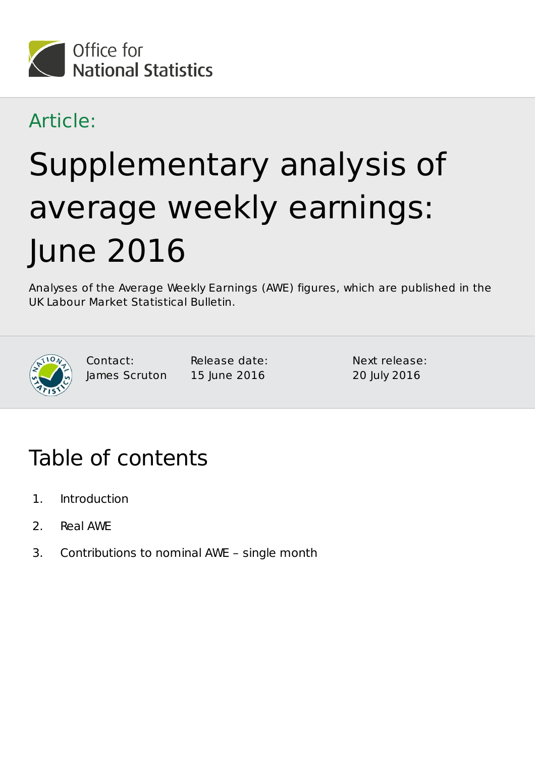

## Article:

# Supplementary analysis of average weekly earnings: June 2016

Analyses of the Average Weekly Earnings (AWE) figures, which are published in the UK Labour Market Statistical Bulletin.



Contact: James Scruton Release date: 15 June 2016

Next release: 20 July 2016

# Table of contents

- 1. Introduction
- 2. Real AWE
- 3. Contributions to nominal AWE single month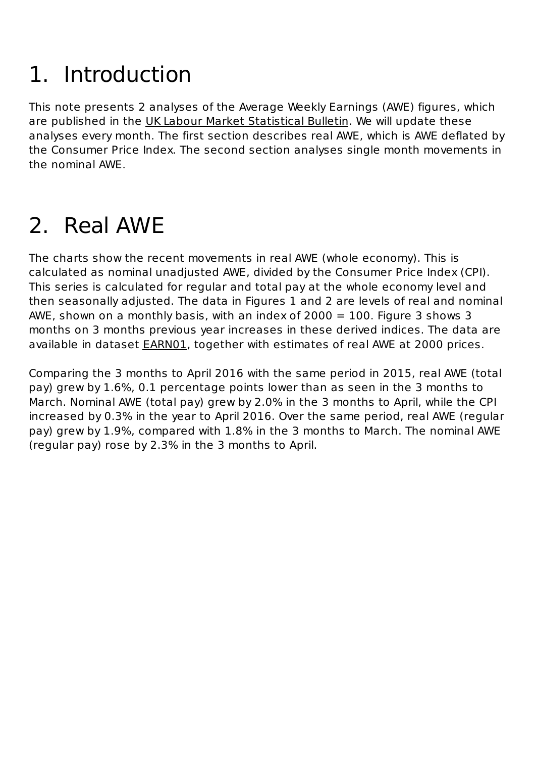# Introduction 1.

This note presents 2 analyses of the Average Weekly Earnings (AWE) figures, which are published in the UK Labour Market Statistical Bulletin. We will update these analyses every month. The first section describes real AWE, which is AWE deflated by the Consumer Price Index. The second section analyses single month movements in the nominal AWE.

# 2. Real AWE

The charts show the recent movements in real AWE (whole economy). This is calculated as nominal unadjusted AWE, divided by the Consumer Price Index (CPI). This series is calculated for regular and total pay at the whole economy level and then seasonally adjusted. The data in Figures 1 and 2 are levels of real and nominal AWE, shown on a monthly basis, with an index of  $2000 = 100$ . Figure 3 shows 3 months on 3 months previous year increases in these derived indices. The data are available in dataset **EARN01**, together with estimates of real AWE at 2000 prices.

Comparing the 3 months to April 2016 with the same period in 2015, real AWE (total pay) grew by 1.6%, 0.1 percentage points lower than as seen in the 3 months to March. Nominal AWE (total pay) grew by 2.0% in the 3 months to April, while the CPI increased by 0.3% in the year to April 2016. Over the same period, real AWE (regular pay) grew by 1.9%, compared with 1.8% in the 3 months to March. The nominal AWE (regular pay) rose by 2.3% in the 3 months to April.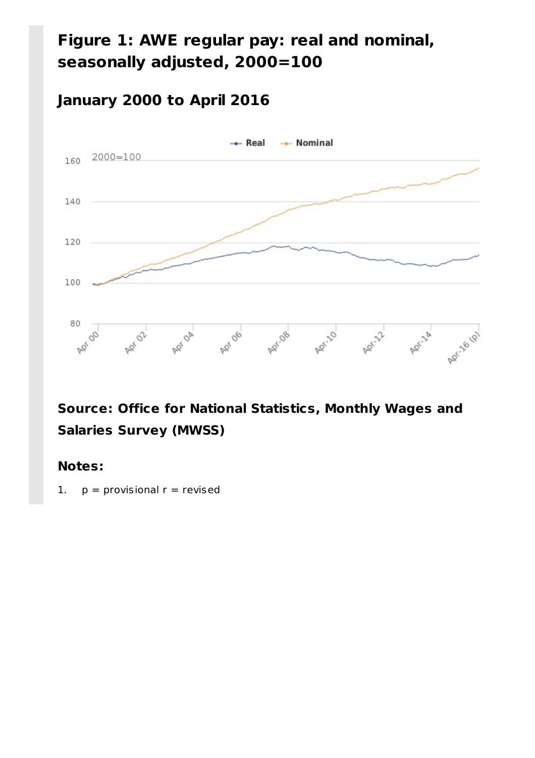### **Figure 1: AWE regular pay: real and nominal, seasonally adjusted, 2000=100**

#### **January 2000 to April 2016**



#### **Source: Office for National Statistics, Monthly Wages and Salaries Survey (MWSS)**

#### **Notes:**

1.  $p =$  provisional  $r =$  revised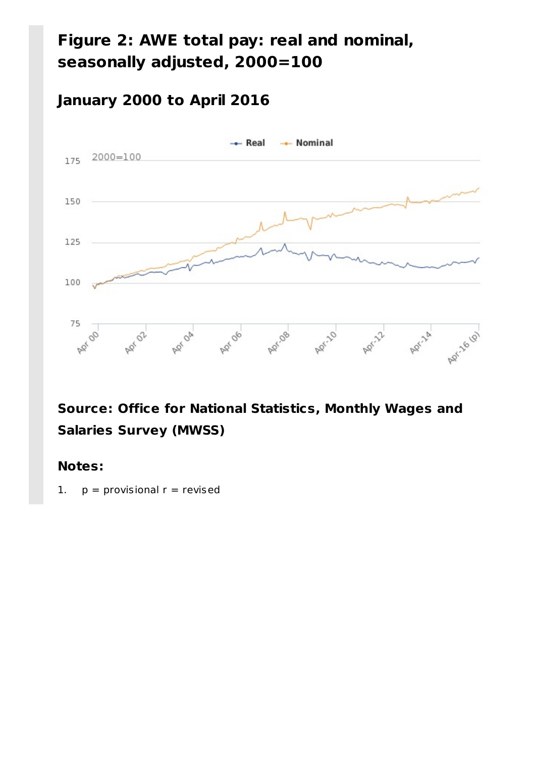## **Figure 2: AWE total pay: real and nominal, seasonally adjusted, 2000=100**

#### **January 2000 to April 2016**



#### **Source: Office for National Statistics, Monthly Wages and Salaries Survey (MWSS)**

#### **Notes:**

1.  $p =$  provisional  $r =$  revised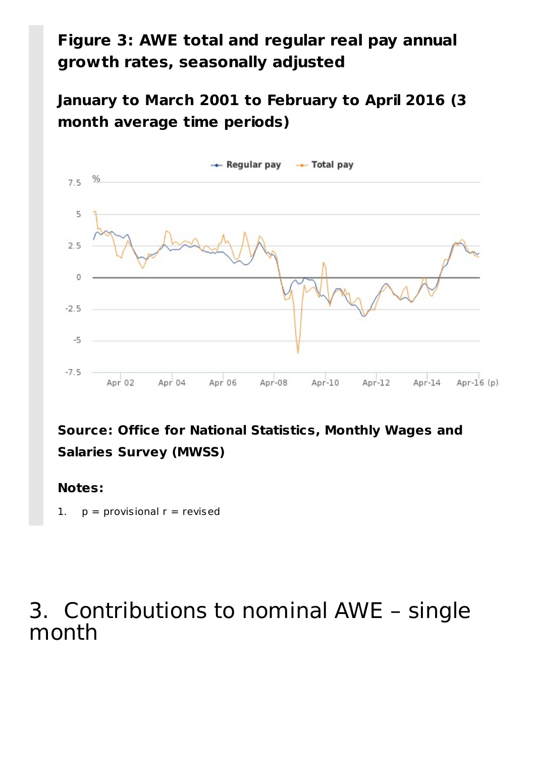### **Figure 3: AWE total and regular real pay annual growth rates, seasonally adjusted**

**January to March 2001 to February to April 2016 (3 month average time periods)**



#### **Source: Office for National Statistics, Monthly Wages and Salaries Survey (MWSS)**

#### **Notes:**

1.  $p =$  provisional  $r =$  revised

# Contributions to nominal AWE – single 3.month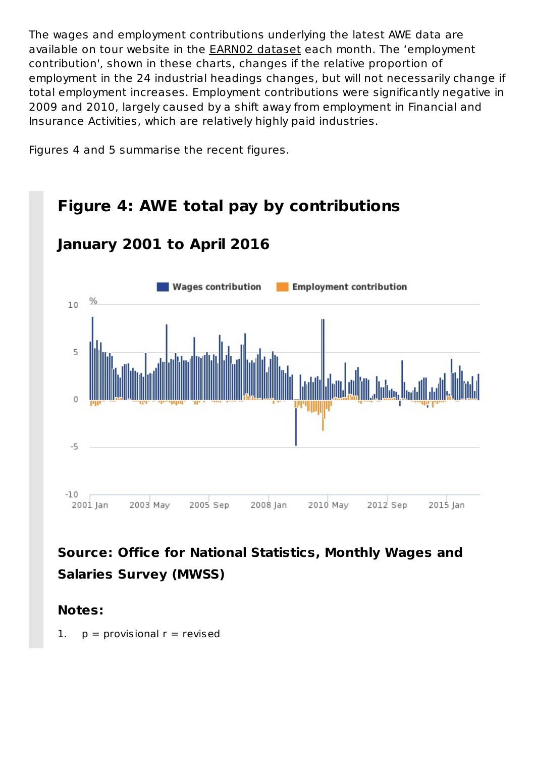The wages and employment contributions underlying the latest AWE data are available on tour website in the EARN02 dataset each month. The 'employment contribution', shown in these charts, changes if the relative proportion of employment in the 24 industrial headings changes, but will not necessarily change if total employment increases. Employment contributions were significantly negative in 2009 and 2010, largely caused by a shift away from employment in Financial and Insurance Activities, which are relatively highly paid industries.

Figures 4 and 5 summarise the recent figures.

#### **Figure 4: AWE total pay by contributions January 2001 to April 2016 Wages contribution Employment contribution** % 10 5 0  $-5$  $-10$ 2005 Sep 2008 Jan 2010 May 2001 Jan 2003 May 2012 Sep 2015 Jan

#### **Source: Office for National Statistics, Monthly Wages and Salaries Survey (MWSS)**

#### **Notes:**

1.  $p =$  provisional  $r =$  revised